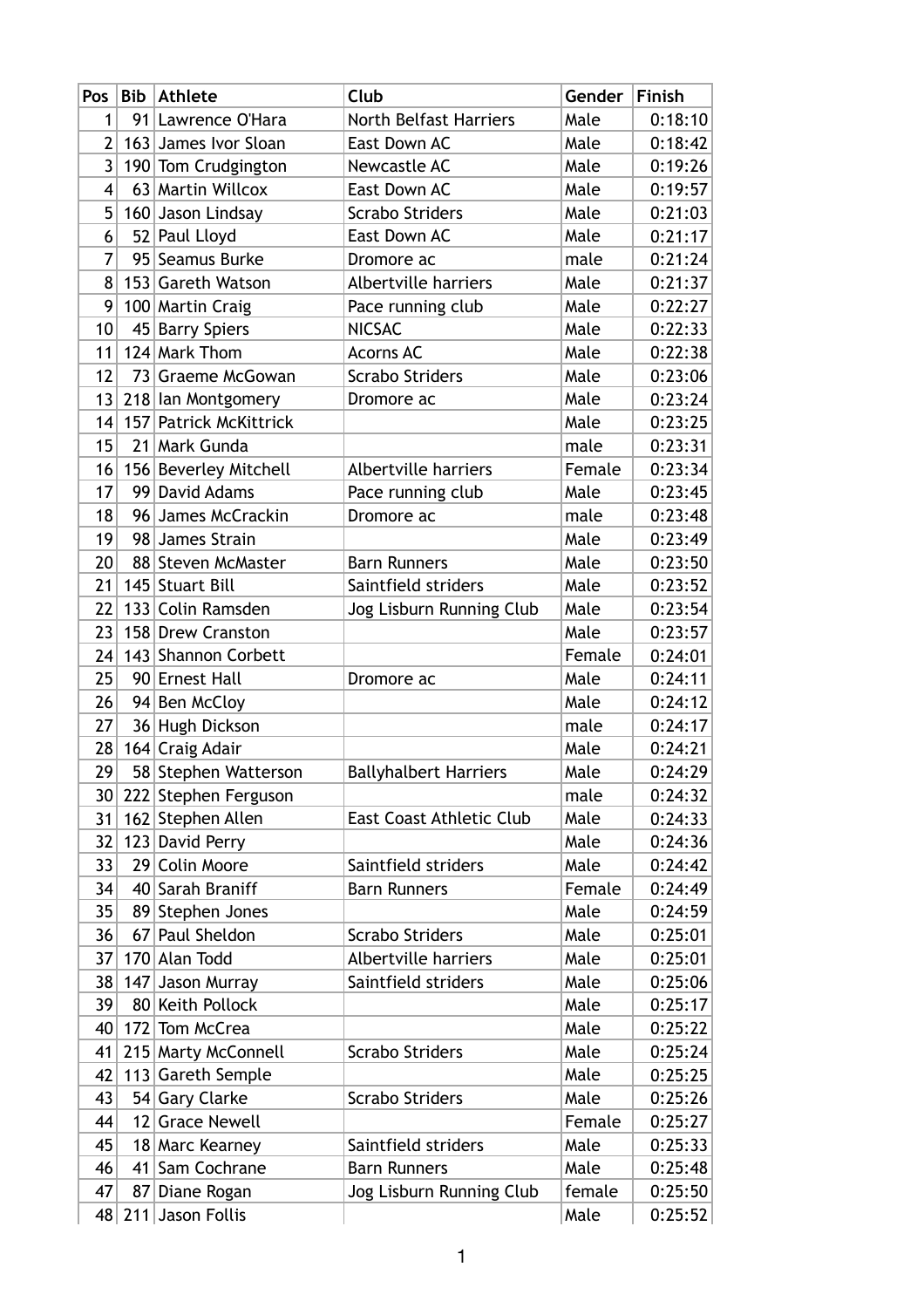| Pos                     | Bib             | <b>Athlete</b>                       | Club                            | Gender       | <b>Finish</b>      |
|-------------------------|-----------------|--------------------------------------|---------------------------------|--------------|--------------------|
| 1                       |                 | 91 Lawrence O'Hara                   | <b>North Belfast Harriers</b>   | Male         | 0:18:10            |
| 2                       |                 | 163 James Ivor Sloan                 | East Down AC                    | Male         | 0:18:42            |
| 3                       |                 | 190 Tom Crudgington                  | Newcastle AC                    | Male         | 0:19:26            |
| $\overline{\mathbf{4}}$ |                 | 63 Martin Willcox                    | East Down AC                    | Male         | 0:19:57            |
| 5                       |                 | 160 Jason Lindsay                    | <b>Scrabo Striders</b>          | Male         | 0:21:03            |
| 6                       |                 | 52 Paul Lloyd                        | East Down AC                    | Male         | 0:21:17            |
| 7                       |                 | 95 Seamus Burke                      | Dromore ac                      | male         | 0:21:24            |
| 8                       |                 | 153 Gareth Watson                    | Albertville harriers            | Male         | 0:21:37            |
| 9                       |                 | 100 Martin Craig                     | Pace running club               | Male         | 0:22:27            |
| 10                      |                 | 45 Barry Spiers                      | <b>NICSAC</b>                   | Male         | 0:22:33            |
| 11                      |                 | 124 Mark Thom                        | <b>Acorns AC</b>                | Male         | 0:22:38            |
| 12                      |                 | 73 Graeme McGowan                    | <b>Scrabo Striders</b>          | Male         | 0:23:06            |
| 13                      |                 | 218 Ian Montgomery                   | Dromore ac                      | Male         | 0:23:24            |
| 14                      | 157             | <b>Patrick McKittrick</b>            |                                 | Male         | 0:23:25            |
| 15                      |                 | 21 Mark Gunda                        |                                 | male         | 0:23:31            |
| 16                      |                 | 156 Beverley Mitchell                | Albertville harriers            | Female       | 0:23:34            |
| 17                      | 99              | David Adams                          | Pace running club               | Male         | 0:23:45            |
| 18                      |                 | 96 James McCrackin                   | Dromore ac                      | male         | 0:23:48            |
| 19                      |                 | 98 James Strain                      |                                 | Male         | 0:23:49            |
| 20                      |                 | 88 Steven McMaster                   | <b>Barn Runners</b>             | Male         | 0:23:50            |
| 21                      | 145             | <b>Stuart Bill</b>                   | Saintfield striders             | Male         | 0:23:52            |
| 22                      |                 | 133 Colin Ramsden                    | Jog Lisburn Running Club        | Male         | 0:23:54            |
| 23                      |                 | 158 Drew Cranston                    |                                 | Male         | 0:23:57            |
| 24                      |                 | 143 Shannon Corbett                  |                                 | Female       | 0:24:01            |
| 25                      |                 | 90 Ernest Hall                       | Dromore ac                      | Male         | 0:24:11            |
| 26                      |                 | 94 Ben McCloy                        |                                 | Male         | 0:24:12            |
| 27                      |                 | 36 Hugh Dickson                      |                                 | male         | 0:24:17            |
| 28                      |                 | 164 Craig Adair                      |                                 | Male         | 0:24:21            |
| 29                      |                 | 58 Stephen Watterson                 | <b>Ballyhalbert Harriers</b>    | Male         | 0:24:29            |
|                         |                 | 30 222 Stephen Ferguson              | <b>East Coast Athletic Club</b> | male<br>Male | 0:24:32            |
| 31<br>32                |                 | 162 Stephen Allen<br>123 David Perry |                                 | Male         | 0:24:33<br>0:24:36 |
| 33                      |                 | 29 Colin Moore                       | Saintfield striders             | Male         | 0:24:42            |
| 34                      |                 | 40 Sarah Braniff                     | <b>Barn Runners</b>             | Female       | 0:24:49            |
| 35                      | 89              | Stephen Jones                        |                                 | Male         | 0:24:59            |
| 36                      | 67 <sup>2</sup> | Paul Sheldon                         | <b>Scrabo Striders</b>          | Male         | 0:25:01            |
| 37                      |                 | 170 Alan Todd                        | Albertville harriers            | Male         | 0:25:01            |
| 38                      |                 | 147 Jason Murray                     | Saintfield striders             | Male         | 0:25:06            |
| 39                      |                 | 80 Keith Pollock                     |                                 | Male         | 0:25:17            |
| 40                      |                 | 172 Tom McCrea                       |                                 | Male         | 0:25:22            |
| 41                      |                 | 215 Marty McConnell                  | Scrabo Striders                 | Male         | 0:25:24            |
| 42                      |                 | 113 Gareth Semple                    |                                 | Male         | 0:25:25            |
| 43                      |                 | 54 Gary Clarke                       | <b>Scrabo Striders</b>          | Male         | 0:25:26            |
| 44                      |                 | 12 Grace Newell                      |                                 | Female       | 0:25:27            |
| 45                      |                 | 18 Marc Kearney                      | Saintfield striders             | Male         | 0:25:33            |
| 46                      |                 | 41 Sam Cochrane                      | <b>Barn Runners</b>             | Male         | 0:25:48            |
| 47                      |                 | 87 Diane Rogan                       | Jog Lisburn Running Club        | female       | 0:25:50            |
| 48                      |                 | 211 Jason Follis                     |                                 | Male         | 0:25:52            |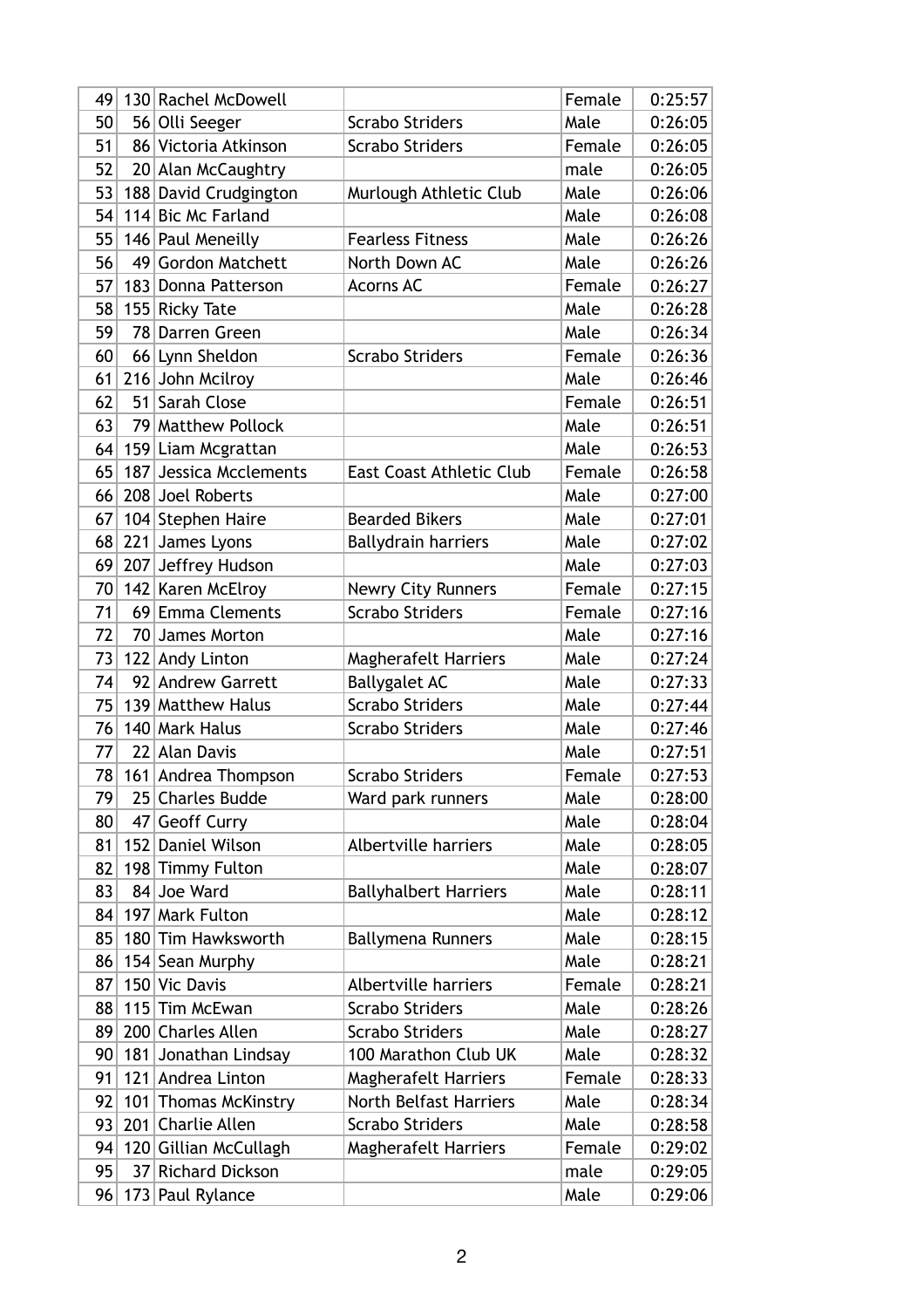| 56 Olli Seeger<br>Male<br><b>Scrabo Striders</b><br>50<br>86 Victoria Atkinson<br>51<br><b>Scrabo Striders</b><br>Female<br>52<br>20 Alan McCaughtry<br>male<br>188 David Crudgington<br>Murlough Athletic Club<br>Male<br>53<br>114 Bic Mc Farland<br>54<br>Male<br>146 Paul Meneilly<br><b>Fearless Fitness</b><br>Male<br>55<br>49 Gordon Matchett<br>56<br>North Down AC<br>Male<br>183 Donna Patterson<br><b>Acorns AC</b><br>Female<br>57<br>Male<br>58<br>155 Ricky Tate<br>59<br>78 Darren Green<br>Male<br>60<br>66 Lynn Sheldon<br><b>Scrabo Striders</b><br>Female<br>216 John Mcilroy<br>61<br>Male<br>Sarah Close<br>62<br>51 <br>Female | 0:26:05<br>0:26:05<br>0:26:05<br>0:26:06<br>0:26:08<br>0:26:26<br>0:26:26<br>0:26:27<br>0:26:28<br>0:26:34<br>0:26:36<br>0:26:46<br>0:26:51 |
|-------------------------------------------------------------------------------------------------------------------------------------------------------------------------------------------------------------------------------------------------------------------------------------------------------------------------------------------------------------------------------------------------------------------------------------------------------------------------------------------------------------------------------------------------------------------------------------------------------------------------------------------------------|---------------------------------------------------------------------------------------------------------------------------------------------|
|                                                                                                                                                                                                                                                                                                                                                                                                                                                                                                                                                                                                                                                       |                                                                                                                                             |
|                                                                                                                                                                                                                                                                                                                                                                                                                                                                                                                                                                                                                                                       |                                                                                                                                             |
|                                                                                                                                                                                                                                                                                                                                                                                                                                                                                                                                                                                                                                                       |                                                                                                                                             |
|                                                                                                                                                                                                                                                                                                                                                                                                                                                                                                                                                                                                                                                       |                                                                                                                                             |
|                                                                                                                                                                                                                                                                                                                                                                                                                                                                                                                                                                                                                                                       |                                                                                                                                             |
|                                                                                                                                                                                                                                                                                                                                                                                                                                                                                                                                                                                                                                                       |                                                                                                                                             |
|                                                                                                                                                                                                                                                                                                                                                                                                                                                                                                                                                                                                                                                       |                                                                                                                                             |
|                                                                                                                                                                                                                                                                                                                                                                                                                                                                                                                                                                                                                                                       |                                                                                                                                             |
|                                                                                                                                                                                                                                                                                                                                                                                                                                                                                                                                                                                                                                                       |                                                                                                                                             |
|                                                                                                                                                                                                                                                                                                                                                                                                                                                                                                                                                                                                                                                       |                                                                                                                                             |
|                                                                                                                                                                                                                                                                                                                                                                                                                                                                                                                                                                                                                                                       |                                                                                                                                             |
|                                                                                                                                                                                                                                                                                                                                                                                                                                                                                                                                                                                                                                                       |                                                                                                                                             |
|                                                                                                                                                                                                                                                                                                                                                                                                                                                                                                                                                                                                                                                       |                                                                                                                                             |
| 63<br>79 Matthew Pollock<br>Male                                                                                                                                                                                                                                                                                                                                                                                                                                                                                                                                                                                                                      | 0:26:51                                                                                                                                     |
| 64<br>159 Liam Mcgrattan<br>Male                                                                                                                                                                                                                                                                                                                                                                                                                                                                                                                                                                                                                      | 0:26:53                                                                                                                                     |
| 187 Jessica Mcclements<br>65<br><b>East Coast Athletic Club</b><br>Female                                                                                                                                                                                                                                                                                                                                                                                                                                                                                                                                                                             | 0:26:58                                                                                                                                     |
| Male<br>66<br>208 Joel Roberts                                                                                                                                                                                                                                                                                                                                                                                                                                                                                                                                                                                                                        | 0:27:00                                                                                                                                     |
| 104 Stephen Haire<br><b>Bearded Bikers</b><br>Male<br>67                                                                                                                                                                                                                                                                                                                                                                                                                                                                                                                                                                                              | 0:27:01                                                                                                                                     |
| 221 James Lyons<br>68<br>Male<br><b>Ballydrain harriers</b>                                                                                                                                                                                                                                                                                                                                                                                                                                                                                                                                                                                           | 0:27:02                                                                                                                                     |
| 207 Jeffrey Hudson<br>69<br>Male                                                                                                                                                                                                                                                                                                                                                                                                                                                                                                                                                                                                                      | 0:27:03                                                                                                                                     |
| 142 Karen McElroy<br>70<br><b>Newry City Runners</b><br>Female                                                                                                                                                                                                                                                                                                                                                                                                                                                                                                                                                                                        | 0:27:15                                                                                                                                     |
| 69 Emma Clements<br>71<br><b>Scrabo Striders</b><br>Female                                                                                                                                                                                                                                                                                                                                                                                                                                                                                                                                                                                            | 0:27:16                                                                                                                                     |
| 72<br>70 <br>James Morton<br>Male                                                                                                                                                                                                                                                                                                                                                                                                                                                                                                                                                                                                                     | 0:27:16                                                                                                                                     |
| 73<br>122 Andy Linton<br><b>Magherafelt Harriers</b><br>Male                                                                                                                                                                                                                                                                                                                                                                                                                                                                                                                                                                                          | 0:27:24                                                                                                                                     |
| 92 Andrew Garrett<br><b>Ballygalet AC</b><br>74<br>Male                                                                                                                                                                                                                                                                                                                                                                                                                                                                                                                                                                                               | 0:27:33                                                                                                                                     |
| <b>Scrabo Striders</b><br>139 Matthew Halus<br>Male<br>75                                                                                                                                                                                                                                                                                                                                                                                                                                                                                                                                                                                             | 0:27:44                                                                                                                                     |
| 76<br>140 Mark Halus<br><b>Scrabo Striders</b><br>Male                                                                                                                                                                                                                                                                                                                                                                                                                                                                                                                                                                                                | 0:27:46                                                                                                                                     |
| 77<br>22 Alan Davis<br>Male                                                                                                                                                                                                                                                                                                                                                                                                                                                                                                                                                                                                                           | 0:27:51                                                                                                                                     |
| 78<br><b>Scrabo Striders</b><br>161 Andrea Thompson<br>Female                                                                                                                                                                                                                                                                                                                                                                                                                                                                                                                                                                                         | 0:27:53                                                                                                                                     |
| 25 Charles Budde<br>Male<br>79<br>Ward park runners                                                                                                                                                                                                                                                                                                                                                                                                                                                                                                                                                                                                   | 0:28:00                                                                                                                                     |
| Male<br>80<br><b>Geoff Curry</b><br>47                                                                                                                                                                                                                                                                                                                                                                                                                                                                                                                                                                                                                | 0:28:04                                                                                                                                     |
| Albertville harriers<br>81<br>152 Daniel Wilson<br>Male                                                                                                                                                                                                                                                                                                                                                                                                                                                                                                                                                                                               | 0:28:05                                                                                                                                     |
| 82<br>198 Timmy Fulton<br>Male                                                                                                                                                                                                                                                                                                                                                                                                                                                                                                                                                                                                                        | 0:28:07                                                                                                                                     |
| 84 Joe Ward<br>83<br><b>Ballyhalbert Harriers</b><br>Male                                                                                                                                                                                                                                                                                                                                                                                                                                                                                                                                                                                             | 0:28:11                                                                                                                                     |
| 197 Mark Fulton<br>Male<br>84                                                                                                                                                                                                                                                                                                                                                                                                                                                                                                                                                                                                                         | 0:28:12                                                                                                                                     |
| Male<br>180 Tim Hawksworth<br>85<br><b>Ballymena Runners</b>                                                                                                                                                                                                                                                                                                                                                                                                                                                                                                                                                                                          | 0:28:15                                                                                                                                     |
| Male<br>154 Sean Murphy<br>86                                                                                                                                                                                                                                                                                                                                                                                                                                                                                                                                                                                                                         | 0:28:21                                                                                                                                     |
| 150 Vic Davis<br>Albertville harriers<br>Female<br>87                                                                                                                                                                                                                                                                                                                                                                                                                                                                                                                                                                                                 | 0:28:21                                                                                                                                     |
| 115 Tim McEwan<br><b>Scrabo Striders</b><br>Male<br>88                                                                                                                                                                                                                                                                                                                                                                                                                                                                                                                                                                                                | 0:28:26                                                                                                                                     |
| 200 Charles Allen<br>89<br><b>Scrabo Striders</b><br>Male                                                                                                                                                                                                                                                                                                                                                                                                                                                                                                                                                                                             | 0:28:27                                                                                                                                     |
| 181 Jonathan Lindsay<br>100 Marathon Club UK<br>Male<br>90                                                                                                                                                                                                                                                                                                                                                                                                                                                                                                                                                                                            | 0:28:32                                                                                                                                     |
| 121 Andrea Linton<br><b>Magherafelt Harriers</b><br>Female<br>91                                                                                                                                                                                                                                                                                                                                                                                                                                                                                                                                                                                      | 0:28:33                                                                                                                                     |
| <b>North Belfast Harriers</b><br>92<br>101 Thomas McKinstry<br>Male                                                                                                                                                                                                                                                                                                                                                                                                                                                                                                                                                                                   | 0:28:34                                                                                                                                     |
| 201 Charlie Allen<br><b>Scrabo Striders</b><br>Male<br>93                                                                                                                                                                                                                                                                                                                                                                                                                                                                                                                                                                                             | 0:28:58                                                                                                                                     |
| 94<br>120 Gillian McCullagh<br><b>Magherafelt Harriers</b><br>Female                                                                                                                                                                                                                                                                                                                                                                                                                                                                                                                                                                                  | 0:29:02                                                                                                                                     |
| 37 Richard Dickson<br>95<br>male                                                                                                                                                                                                                                                                                                                                                                                                                                                                                                                                                                                                                      | 0:29:05                                                                                                                                     |
| 173 Paul Rylance<br>Male<br>96                                                                                                                                                                                                                                                                                                                                                                                                                                                                                                                                                                                                                        | 0:29:06                                                                                                                                     |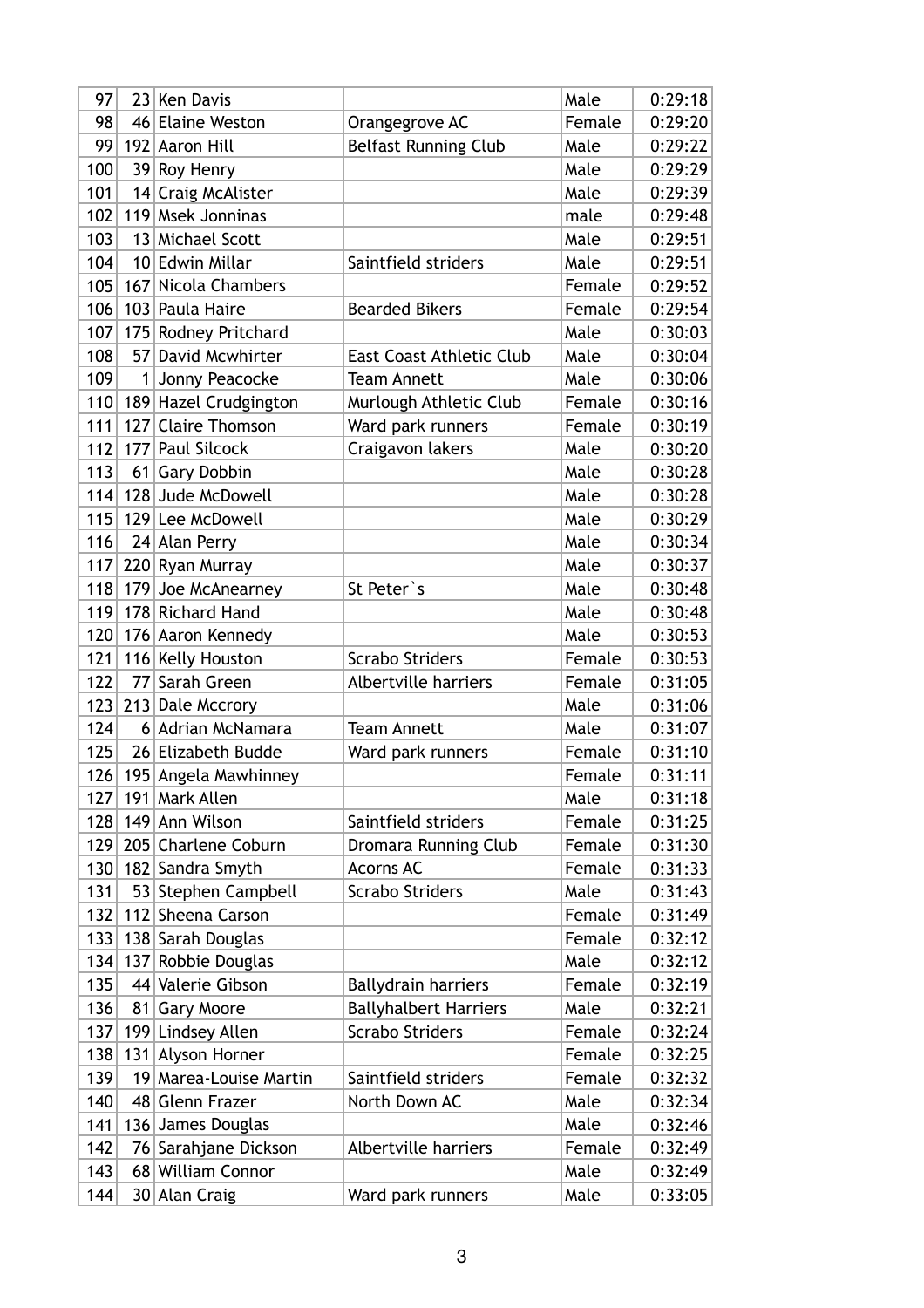| Female<br>98<br>46 Elaine Weston<br>0:29:20<br>Orangegrove AC<br><b>Belfast Running Club</b><br>Male<br>99<br>192 Aaron Hill<br>0:29:22<br>Male<br>100<br>39 Roy Henry<br>0:29:29<br>14 Craig McAlister<br>101<br>Male<br>0:29:39<br><b>Msek Jonninas</b><br>102<br>119<br>male<br>0:29:48<br>103<br>13 Michael Scott<br>Male<br>0:29:51<br>10 Edwin Millar<br>Saintfield striders<br>104<br>Male<br>0:29:51<br>Nicola Chambers<br>105<br>Female<br>167<br>0:29:52<br>Female<br>106<br>103 Paula Haire<br><b>Bearded Bikers</b><br>0:29:54<br>107<br>Male<br>0:30:03<br>175 Rodney Pritchard<br>108<br>David Mcwhirter<br>57 <sup>2</sup><br>Male<br>0:30:04<br>East Coast Athletic Club<br>109<br>0:30:06<br>1 <br>Jonny Peacocke<br><b>Team Annett</b><br>Male<br>110<br>189 Hazel Crudgington<br>0:30:16<br>Murlough Athletic Club<br>Female<br>111<br>127<br><b>Claire Thomson</b><br>Female<br>0:30:19<br>Ward park runners<br>112<br>177 Paul Silcock<br>Craigavon lakers<br>Male<br>0:30:20<br>113<br>Gary Dobbin<br>0:30:28<br>61<br>Male<br>114<br>128 Jude McDowell<br>0:30:28<br>Male<br>115<br>Male<br>0:30:29<br>129 Lee McDowell<br>116<br>24 Alan Perry<br>Male<br>0:30:34<br>117<br>220 Ryan Murray<br>0:30:37<br>Male<br>118<br>Joe McAnearney<br>0:30:48<br>179<br>St Peter's<br>Male<br>119<br>178 Richard Hand<br>Male<br>0:30:48<br>120<br>176 Aaron Kennedy<br>Male<br>0:30:53<br>121<br><b>Scrabo Striders</b><br>0:30:53<br>116 Kelly Houston<br>Female<br>122<br>Sarah Green<br>0:31:05<br>77<br>Albertville harriers<br>Female<br>123<br>Male<br>0:31:06<br>213 Dale Mccrory<br>124<br>6 Adrian McNamara<br><b>Team Annett</b><br>Male<br>0:31:07<br>125<br>26 Elizabeth Budde<br>Ward park runners<br>Female<br>0:31:10<br>126<br>195 Angela Mawhinney<br>Female<br>0:31:11<br>127   191   Mark Allen<br>Male<br>0:31:18<br>128   149   Ann Wilson<br>Female<br>0:31:25<br>Saintfield striders<br>129<br>0:31:30<br>205 Charlene Coburn<br>Dromara Running Club<br>Female<br>130 182 Sandra Smyth<br><b>Acorns AC</b><br>Female<br>0:31:33<br>53 Stephen Campbell<br>131<br>Scrabo Striders<br>Male<br>0:31:43<br>112 Sheena Carson<br>132<br>Female<br>0:31:49<br>133<br>Female<br>138 Sarah Douglas<br>0:32:12<br>134<br>137 Robbie Douglas<br>Male<br>0:32:12<br>44 Valerie Gibson<br>135<br><b>Ballydrain harriers</b><br>Female<br>0:32:19<br>136<br><b>Ballyhalbert Harriers</b><br><b>Gary Moore</b><br>Male<br>0:32:21<br>81 <br>137<br><b>Scrabo Striders</b><br>0:32:24<br>199 Lindsey Allen<br>Female<br>138<br>131 Alyson Horner<br>Female<br>0:32:25<br>139<br>19 Marea-Louise Martin<br>Saintfield striders<br>Female<br>0:32:32<br>140<br>48 Glenn Frazer<br>North Down AC<br>Male<br>0:32:34<br>0:32:46<br>141<br>136 James Douglas<br>Male<br>142<br>76 Sarahjane Dickson<br>Albertville harriers<br>Female<br>0:32:49<br>143<br>68 William Connor<br>Male<br>0:32:49 | 97  | 23 Ken Davis  |                   | Male | 0:29:18 |
|-------------------------------------------------------------------------------------------------------------------------------------------------------------------------------------------------------------------------------------------------------------------------------------------------------------------------------------------------------------------------------------------------------------------------------------------------------------------------------------------------------------------------------------------------------------------------------------------------------------------------------------------------------------------------------------------------------------------------------------------------------------------------------------------------------------------------------------------------------------------------------------------------------------------------------------------------------------------------------------------------------------------------------------------------------------------------------------------------------------------------------------------------------------------------------------------------------------------------------------------------------------------------------------------------------------------------------------------------------------------------------------------------------------------------------------------------------------------------------------------------------------------------------------------------------------------------------------------------------------------------------------------------------------------------------------------------------------------------------------------------------------------------------------------------------------------------------------------------------------------------------------------------------------------------------------------------------------------------------------------------------------------------------------------------------------------------------------------------------------------------------------------------------------------------------------------------------------------------------------------------------------------------------------------------------------------------------------------------------------------------------------------------------------------------------------------------------------------------------------------------------------------------------------------------------------------------------------------------------------------------------------------------------------------------------------------------------------------------------------------------------------------------------------------------------------------------------------------------------------------------------------------------------------------|-----|---------------|-------------------|------|---------|
|                                                                                                                                                                                                                                                                                                                                                                                                                                                                                                                                                                                                                                                                                                                                                                                                                                                                                                                                                                                                                                                                                                                                                                                                                                                                                                                                                                                                                                                                                                                                                                                                                                                                                                                                                                                                                                                                                                                                                                                                                                                                                                                                                                                                                                                                                                                                                                                                                                                                                                                                                                                                                                                                                                                                                                                                                                                                                                                   |     |               |                   |      |         |
|                                                                                                                                                                                                                                                                                                                                                                                                                                                                                                                                                                                                                                                                                                                                                                                                                                                                                                                                                                                                                                                                                                                                                                                                                                                                                                                                                                                                                                                                                                                                                                                                                                                                                                                                                                                                                                                                                                                                                                                                                                                                                                                                                                                                                                                                                                                                                                                                                                                                                                                                                                                                                                                                                                                                                                                                                                                                                                                   |     |               |                   |      |         |
|                                                                                                                                                                                                                                                                                                                                                                                                                                                                                                                                                                                                                                                                                                                                                                                                                                                                                                                                                                                                                                                                                                                                                                                                                                                                                                                                                                                                                                                                                                                                                                                                                                                                                                                                                                                                                                                                                                                                                                                                                                                                                                                                                                                                                                                                                                                                                                                                                                                                                                                                                                                                                                                                                                                                                                                                                                                                                                                   |     |               |                   |      |         |
|                                                                                                                                                                                                                                                                                                                                                                                                                                                                                                                                                                                                                                                                                                                                                                                                                                                                                                                                                                                                                                                                                                                                                                                                                                                                                                                                                                                                                                                                                                                                                                                                                                                                                                                                                                                                                                                                                                                                                                                                                                                                                                                                                                                                                                                                                                                                                                                                                                                                                                                                                                                                                                                                                                                                                                                                                                                                                                                   |     |               |                   |      |         |
|                                                                                                                                                                                                                                                                                                                                                                                                                                                                                                                                                                                                                                                                                                                                                                                                                                                                                                                                                                                                                                                                                                                                                                                                                                                                                                                                                                                                                                                                                                                                                                                                                                                                                                                                                                                                                                                                                                                                                                                                                                                                                                                                                                                                                                                                                                                                                                                                                                                                                                                                                                                                                                                                                                                                                                                                                                                                                                                   |     |               |                   |      |         |
|                                                                                                                                                                                                                                                                                                                                                                                                                                                                                                                                                                                                                                                                                                                                                                                                                                                                                                                                                                                                                                                                                                                                                                                                                                                                                                                                                                                                                                                                                                                                                                                                                                                                                                                                                                                                                                                                                                                                                                                                                                                                                                                                                                                                                                                                                                                                                                                                                                                                                                                                                                                                                                                                                                                                                                                                                                                                                                                   |     |               |                   |      |         |
|                                                                                                                                                                                                                                                                                                                                                                                                                                                                                                                                                                                                                                                                                                                                                                                                                                                                                                                                                                                                                                                                                                                                                                                                                                                                                                                                                                                                                                                                                                                                                                                                                                                                                                                                                                                                                                                                                                                                                                                                                                                                                                                                                                                                                                                                                                                                                                                                                                                                                                                                                                                                                                                                                                                                                                                                                                                                                                                   |     |               |                   |      |         |
|                                                                                                                                                                                                                                                                                                                                                                                                                                                                                                                                                                                                                                                                                                                                                                                                                                                                                                                                                                                                                                                                                                                                                                                                                                                                                                                                                                                                                                                                                                                                                                                                                                                                                                                                                                                                                                                                                                                                                                                                                                                                                                                                                                                                                                                                                                                                                                                                                                                                                                                                                                                                                                                                                                                                                                                                                                                                                                                   |     |               |                   |      |         |
|                                                                                                                                                                                                                                                                                                                                                                                                                                                                                                                                                                                                                                                                                                                                                                                                                                                                                                                                                                                                                                                                                                                                                                                                                                                                                                                                                                                                                                                                                                                                                                                                                                                                                                                                                                                                                                                                                                                                                                                                                                                                                                                                                                                                                                                                                                                                                                                                                                                                                                                                                                                                                                                                                                                                                                                                                                                                                                                   |     |               |                   |      |         |
|                                                                                                                                                                                                                                                                                                                                                                                                                                                                                                                                                                                                                                                                                                                                                                                                                                                                                                                                                                                                                                                                                                                                                                                                                                                                                                                                                                                                                                                                                                                                                                                                                                                                                                                                                                                                                                                                                                                                                                                                                                                                                                                                                                                                                                                                                                                                                                                                                                                                                                                                                                                                                                                                                                                                                                                                                                                                                                                   |     |               |                   |      |         |
|                                                                                                                                                                                                                                                                                                                                                                                                                                                                                                                                                                                                                                                                                                                                                                                                                                                                                                                                                                                                                                                                                                                                                                                                                                                                                                                                                                                                                                                                                                                                                                                                                                                                                                                                                                                                                                                                                                                                                                                                                                                                                                                                                                                                                                                                                                                                                                                                                                                                                                                                                                                                                                                                                                                                                                                                                                                                                                                   |     |               |                   |      |         |
|                                                                                                                                                                                                                                                                                                                                                                                                                                                                                                                                                                                                                                                                                                                                                                                                                                                                                                                                                                                                                                                                                                                                                                                                                                                                                                                                                                                                                                                                                                                                                                                                                                                                                                                                                                                                                                                                                                                                                                                                                                                                                                                                                                                                                                                                                                                                                                                                                                                                                                                                                                                                                                                                                                                                                                                                                                                                                                                   |     |               |                   |      |         |
|                                                                                                                                                                                                                                                                                                                                                                                                                                                                                                                                                                                                                                                                                                                                                                                                                                                                                                                                                                                                                                                                                                                                                                                                                                                                                                                                                                                                                                                                                                                                                                                                                                                                                                                                                                                                                                                                                                                                                                                                                                                                                                                                                                                                                                                                                                                                                                                                                                                                                                                                                                                                                                                                                                                                                                                                                                                                                                                   |     |               |                   |      |         |
|                                                                                                                                                                                                                                                                                                                                                                                                                                                                                                                                                                                                                                                                                                                                                                                                                                                                                                                                                                                                                                                                                                                                                                                                                                                                                                                                                                                                                                                                                                                                                                                                                                                                                                                                                                                                                                                                                                                                                                                                                                                                                                                                                                                                                                                                                                                                                                                                                                                                                                                                                                                                                                                                                                                                                                                                                                                                                                                   |     |               |                   |      |         |
|                                                                                                                                                                                                                                                                                                                                                                                                                                                                                                                                                                                                                                                                                                                                                                                                                                                                                                                                                                                                                                                                                                                                                                                                                                                                                                                                                                                                                                                                                                                                                                                                                                                                                                                                                                                                                                                                                                                                                                                                                                                                                                                                                                                                                                                                                                                                                                                                                                                                                                                                                                                                                                                                                                                                                                                                                                                                                                                   |     |               |                   |      |         |
|                                                                                                                                                                                                                                                                                                                                                                                                                                                                                                                                                                                                                                                                                                                                                                                                                                                                                                                                                                                                                                                                                                                                                                                                                                                                                                                                                                                                                                                                                                                                                                                                                                                                                                                                                                                                                                                                                                                                                                                                                                                                                                                                                                                                                                                                                                                                                                                                                                                                                                                                                                                                                                                                                                                                                                                                                                                                                                                   |     |               |                   |      |         |
|                                                                                                                                                                                                                                                                                                                                                                                                                                                                                                                                                                                                                                                                                                                                                                                                                                                                                                                                                                                                                                                                                                                                                                                                                                                                                                                                                                                                                                                                                                                                                                                                                                                                                                                                                                                                                                                                                                                                                                                                                                                                                                                                                                                                                                                                                                                                                                                                                                                                                                                                                                                                                                                                                                                                                                                                                                                                                                                   |     |               |                   |      |         |
|                                                                                                                                                                                                                                                                                                                                                                                                                                                                                                                                                                                                                                                                                                                                                                                                                                                                                                                                                                                                                                                                                                                                                                                                                                                                                                                                                                                                                                                                                                                                                                                                                                                                                                                                                                                                                                                                                                                                                                                                                                                                                                                                                                                                                                                                                                                                                                                                                                                                                                                                                                                                                                                                                                                                                                                                                                                                                                                   |     |               |                   |      |         |
|                                                                                                                                                                                                                                                                                                                                                                                                                                                                                                                                                                                                                                                                                                                                                                                                                                                                                                                                                                                                                                                                                                                                                                                                                                                                                                                                                                                                                                                                                                                                                                                                                                                                                                                                                                                                                                                                                                                                                                                                                                                                                                                                                                                                                                                                                                                                                                                                                                                                                                                                                                                                                                                                                                                                                                                                                                                                                                                   |     |               |                   |      |         |
|                                                                                                                                                                                                                                                                                                                                                                                                                                                                                                                                                                                                                                                                                                                                                                                                                                                                                                                                                                                                                                                                                                                                                                                                                                                                                                                                                                                                                                                                                                                                                                                                                                                                                                                                                                                                                                                                                                                                                                                                                                                                                                                                                                                                                                                                                                                                                                                                                                                                                                                                                                                                                                                                                                                                                                                                                                                                                                                   |     |               |                   |      |         |
|                                                                                                                                                                                                                                                                                                                                                                                                                                                                                                                                                                                                                                                                                                                                                                                                                                                                                                                                                                                                                                                                                                                                                                                                                                                                                                                                                                                                                                                                                                                                                                                                                                                                                                                                                                                                                                                                                                                                                                                                                                                                                                                                                                                                                                                                                                                                                                                                                                                                                                                                                                                                                                                                                                                                                                                                                                                                                                                   |     |               |                   |      |         |
|                                                                                                                                                                                                                                                                                                                                                                                                                                                                                                                                                                                                                                                                                                                                                                                                                                                                                                                                                                                                                                                                                                                                                                                                                                                                                                                                                                                                                                                                                                                                                                                                                                                                                                                                                                                                                                                                                                                                                                                                                                                                                                                                                                                                                                                                                                                                                                                                                                                                                                                                                                                                                                                                                                                                                                                                                                                                                                                   |     |               |                   |      |         |
|                                                                                                                                                                                                                                                                                                                                                                                                                                                                                                                                                                                                                                                                                                                                                                                                                                                                                                                                                                                                                                                                                                                                                                                                                                                                                                                                                                                                                                                                                                                                                                                                                                                                                                                                                                                                                                                                                                                                                                                                                                                                                                                                                                                                                                                                                                                                                                                                                                                                                                                                                                                                                                                                                                                                                                                                                                                                                                                   |     |               |                   |      |         |
|                                                                                                                                                                                                                                                                                                                                                                                                                                                                                                                                                                                                                                                                                                                                                                                                                                                                                                                                                                                                                                                                                                                                                                                                                                                                                                                                                                                                                                                                                                                                                                                                                                                                                                                                                                                                                                                                                                                                                                                                                                                                                                                                                                                                                                                                                                                                                                                                                                                                                                                                                                                                                                                                                                                                                                                                                                                                                                                   |     |               |                   |      |         |
|                                                                                                                                                                                                                                                                                                                                                                                                                                                                                                                                                                                                                                                                                                                                                                                                                                                                                                                                                                                                                                                                                                                                                                                                                                                                                                                                                                                                                                                                                                                                                                                                                                                                                                                                                                                                                                                                                                                                                                                                                                                                                                                                                                                                                                                                                                                                                                                                                                                                                                                                                                                                                                                                                                                                                                                                                                                                                                                   |     |               |                   |      |         |
|                                                                                                                                                                                                                                                                                                                                                                                                                                                                                                                                                                                                                                                                                                                                                                                                                                                                                                                                                                                                                                                                                                                                                                                                                                                                                                                                                                                                                                                                                                                                                                                                                                                                                                                                                                                                                                                                                                                                                                                                                                                                                                                                                                                                                                                                                                                                                                                                                                                                                                                                                                                                                                                                                                                                                                                                                                                                                                                   |     |               |                   |      |         |
|                                                                                                                                                                                                                                                                                                                                                                                                                                                                                                                                                                                                                                                                                                                                                                                                                                                                                                                                                                                                                                                                                                                                                                                                                                                                                                                                                                                                                                                                                                                                                                                                                                                                                                                                                                                                                                                                                                                                                                                                                                                                                                                                                                                                                                                                                                                                                                                                                                                                                                                                                                                                                                                                                                                                                                                                                                                                                                                   |     |               |                   |      |         |
|                                                                                                                                                                                                                                                                                                                                                                                                                                                                                                                                                                                                                                                                                                                                                                                                                                                                                                                                                                                                                                                                                                                                                                                                                                                                                                                                                                                                                                                                                                                                                                                                                                                                                                                                                                                                                                                                                                                                                                                                                                                                                                                                                                                                                                                                                                                                                                                                                                                                                                                                                                                                                                                                                                                                                                                                                                                                                                                   |     |               |                   |      |         |
|                                                                                                                                                                                                                                                                                                                                                                                                                                                                                                                                                                                                                                                                                                                                                                                                                                                                                                                                                                                                                                                                                                                                                                                                                                                                                                                                                                                                                                                                                                                                                                                                                                                                                                                                                                                                                                                                                                                                                                                                                                                                                                                                                                                                                                                                                                                                                                                                                                                                                                                                                                                                                                                                                                                                                                                                                                                                                                                   |     |               |                   |      |         |
|                                                                                                                                                                                                                                                                                                                                                                                                                                                                                                                                                                                                                                                                                                                                                                                                                                                                                                                                                                                                                                                                                                                                                                                                                                                                                                                                                                                                                                                                                                                                                                                                                                                                                                                                                                                                                                                                                                                                                                                                                                                                                                                                                                                                                                                                                                                                                                                                                                                                                                                                                                                                                                                                                                                                                                                                                                                                                                                   |     |               |                   |      |         |
|                                                                                                                                                                                                                                                                                                                                                                                                                                                                                                                                                                                                                                                                                                                                                                                                                                                                                                                                                                                                                                                                                                                                                                                                                                                                                                                                                                                                                                                                                                                                                                                                                                                                                                                                                                                                                                                                                                                                                                                                                                                                                                                                                                                                                                                                                                                                                                                                                                                                                                                                                                                                                                                                                                                                                                                                                                                                                                                   |     |               |                   |      |         |
|                                                                                                                                                                                                                                                                                                                                                                                                                                                                                                                                                                                                                                                                                                                                                                                                                                                                                                                                                                                                                                                                                                                                                                                                                                                                                                                                                                                                                                                                                                                                                                                                                                                                                                                                                                                                                                                                                                                                                                                                                                                                                                                                                                                                                                                                                                                                                                                                                                                                                                                                                                                                                                                                                                                                                                                                                                                                                                                   |     |               |                   |      |         |
|                                                                                                                                                                                                                                                                                                                                                                                                                                                                                                                                                                                                                                                                                                                                                                                                                                                                                                                                                                                                                                                                                                                                                                                                                                                                                                                                                                                                                                                                                                                                                                                                                                                                                                                                                                                                                                                                                                                                                                                                                                                                                                                                                                                                                                                                                                                                                                                                                                                                                                                                                                                                                                                                                                                                                                                                                                                                                                                   |     |               |                   |      |         |
|                                                                                                                                                                                                                                                                                                                                                                                                                                                                                                                                                                                                                                                                                                                                                                                                                                                                                                                                                                                                                                                                                                                                                                                                                                                                                                                                                                                                                                                                                                                                                                                                                                                                                                                                                                                                                                                                                                                                                                                                                                                                                                                                                                                                                                                                                                                                                                                                                                                                                                                                                                                                                                                                                                                                                                                                                                                                                                                   |     |               |                   |      |         |
|                                                                                                                                                                                                                                                                                                                                                                                                                                                                                                                                                                                                                                                                                                                                                                                                                                                                                                                                                                                                                                                                                                                                                                                                                                                                                                                                                                                                                                                                                                                                                                                                                                                                                                                                                                                                                                                                                                                                                                                                                                                                                                                                                                                                                                                                                                                                                                                                                                                                                                                                                                                                                                                                                                                                                                                                                                                                                                                   |     |               |                   |      |         |
|                                                                                                                                                                                                                                                                                                                                                                                                                                                                                                                                                                                                                                                                                                                                                                                                                                                                                                                                                                                                                                                                                                                                                                                                                                                                                                                                                                                                                                                                                                                                                                                                                                                                                                                                                                                                                                                                                                                                                                                                                                                                                                                                                                                                                                                                                                                                                                                                                                                                                                                                                                                                                                                                                                                                                                                                                                                                                                                   |     |               |                   |      |         |
|                                                                                                                                                                                                                                                                                                                                                                                                                                                                                                                                                                                                                                                                                                                                                                                                                                                                                                                                                                                                                                                                                                                                                                                                                                                                                                                                                                                                                                                                                                                                                                                                                                                                                                                                                                                                                                                                                                                                                                                                                                                                                                                                                                                                                                                                                                                                                                                                                                                                                                                                                                                                                                                                                                                                                                                                                                                                                                                   |     |               |                   |      |         |
|                                                                                                                                                                                                                                                                                                                                                                                                                                                                                                                                                                                                                                                                                                                                                                                                                                                                                                                                                                                                                                                                                                                                                                                                                                                                                                                                                                                                                                                                                                                                                                                                                                                                                                                                                                                                                                                                                                                                                                                                                                                                                                                                                                                                                                                                                                                                                                                                                                                                                                                                                                                                                                                                                                                                                                                                                                                                                                                   |     |               |                   |      |         |
|                                                                                                                                                                                                                                                                                                                                                                                                                                                                                                                                                                                                                                                                                                                                                                                                                                                                                                                                                                                                                                                                                                                                                                                                                                                                                                                                                                                                                                                                                                                                                                                                                                                                                                                                                                                                                                                                                                                                                                                                                                                                                                                                                                                                                                                                                                                                                                                                                                                                                                                                                                                                                                                                                                                                                                                                                                                                                                                   |     |               |                   |      |         |
|                                                                                                                                                                                                                                                                                                                                                                                                                                                                                                                                                                                                                                                                                                                                                                                                                                                                                                                                                                                                                                                                                                                                                                                                                                                                                                                                                                                                                                                                                                                                                                                                                                                                                                                                                                                                                                                                                                                                                                                                                                                                                                                                                                                                                                                                                                                                                                                                                                                                                                                                                                                                                                                                                                                                                                                                                                                                                                                   |     |               |                   |      |         |
|                                                                                                                                                                                                                                                                                                                                                                                                                                                                                                                                                                                                                                                                                                                                                                                                                                                                                                                                                                                                                                                                                                                                                                                                                                                                                                                                                                                                                                                                                                                                                                                                                                                                                                                                                                                                                                                                                                                                                                                                                                                                                                                                                                                                                                                                                                                                                                                                                                                                                                                                                                                                                                                                                                                                                                                                                                                                                                                   |     |               |                   |      |         |
|                                                                                                                                                                                                                                                                                                                                                                                                                                                                                                                                                                                                                                                                                                                                                                                                                                                                                                                                                                                                                                                                                                                                                                                                                                                                                                                                                                                                                                                                                                                                                                                                                                                                                                                                                                                                                                                                                                                                                                                                                                                                                                                                                                                                                                                                                                                                                                                                                                                                                                                                                                                                                                                                                                                                                                                                                                                                                                                   |     |               |                   |      |         |
|                                                                                                                                                                                                                                                                                                                                                                                                                                                                                                                                                                                                                                                                                                                                                                                                                                                                                                                                                                                                                                                                                                                                                                                                                                                                                                                                                                                                                                                                                                                                                                                                                                                                                                                                                                                                                                                                                                                                                                                                                                                                                                                                                                                                                                                                                                                                                                                                                                                                                                                                                                                                                                                                                                                                                                                                                                                                                                                   |     |               |                   |      |         |
|                                                                                                                                                                                                                                                                                                                                                                                                                                                                                                                                                                                                                                                                                                                                                                                                                                                                                                                                                                                                                                                                                                                                                                                                                                                                                                                                                                                                                                                                                                                                                                                                                                                                                                                                                                                                                                                                                                                                                                                                                                                                                                                                                                                                                                                                                                                                                                                                                                                                                                                                                                                                                                                                                                                                                                                                                                                                                                                   |     |               |                   |      |         |
|                                                                                                                                                                                                                                                                                                                                                                                                                                                                                                                                                                                                                                                                                                                                                                                                                                                                                                                                                                                                                                                                                                                                                                                                                                                                                                                                                                                                                                                                                                                                                                                                                                                                                                                                                                                                                                                                                                                                                                                                                                                                                                                                                                                                                                                                                                                                                                                                                                                                                                                                                                                                                                                                                                                                                                                                                                                                                                                   |     |               |                   |      |         |
|                                                                                                                                                                                                                                                                                                                                                                                                                                                                                                                                                                                                                                                                                                                                                                                                                                                                                                                                                                                                                                                                                                                                                                                                                                                                                                                                                                                                                                                                                                                                                                                                                                                                                                                                                                                                                                                                                                                                                                                                                                                                                                                                                                                                                                                                                                                                                                                                                                                                                                                                                                                                                                                                                                                                                                                                                                                                                                                   |     |               |                   |      |         |
|                                                                                                                                                                                                                                                                                                                                                                                                                                                                                                                                                                                                                                                                                                                                                                                                                                                                                                                                                                                                                                                                                                                                                                                                                                                                                                                                                                                                                                                                                                                                                                                                                                                                                                                                                                                                                                                                                                                                                                                                                                                                                                                                                                                                                                                                                                                                                                                                                                                                                                                                                                                                                                                                                                                                                                                                                                                                                                                   | 144 | 30 Alan Craig | Ward park runners | Male | 0:33:05 |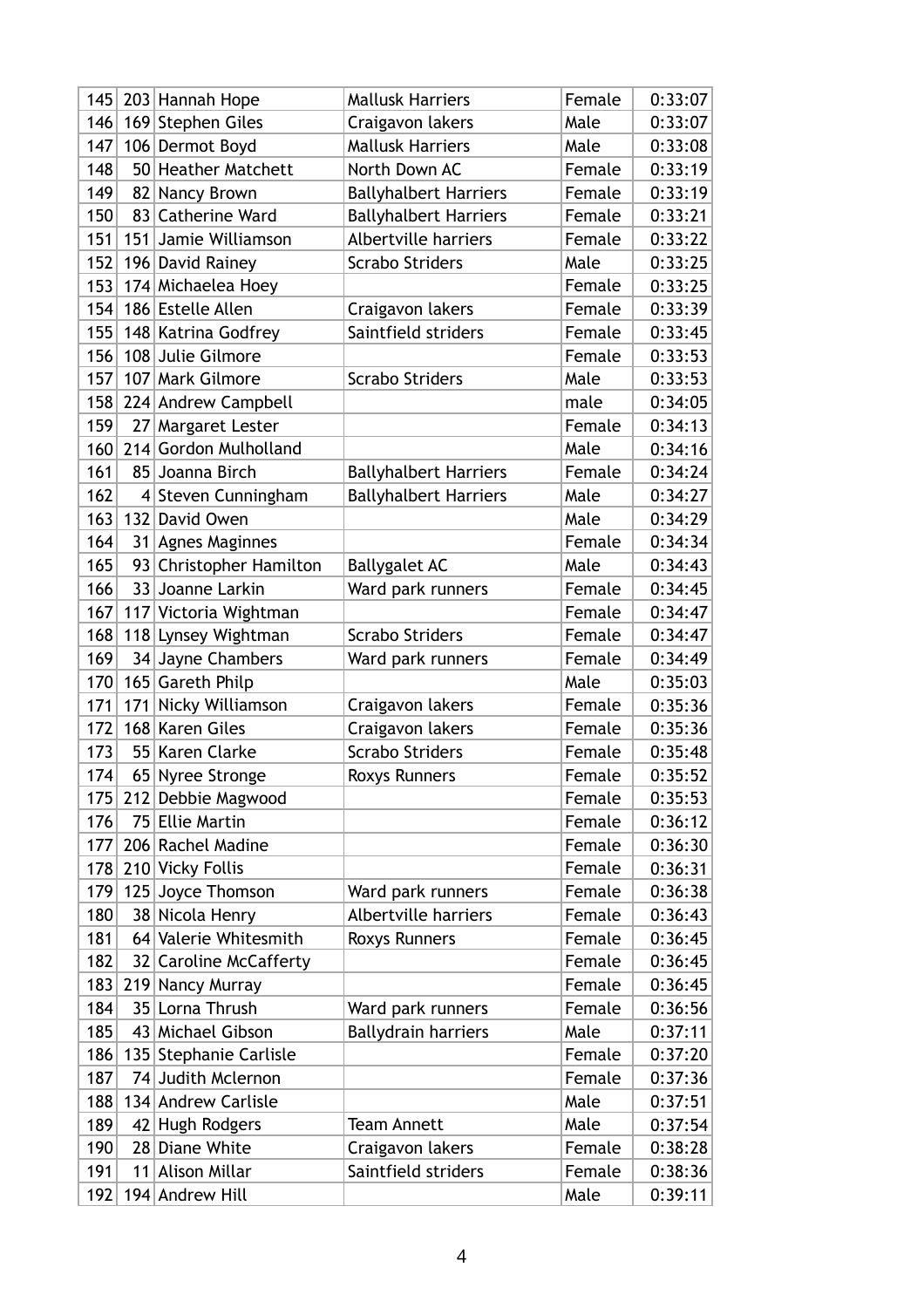| 145 |                 | 203 Hannah Hope         | <b>Mallusk Harriers</b>      | Female | 0:33:07 |
|-----|-----------------|-------------------------|------------------------------|--------|---------|
| 146 |                 | 169 Stephen Giles       | Craigavon lakers             | Male   | 0:33:07 |
| 147 |                 | 106 Dermot Boyd         | <b>Mallusk Harriers</b>      | Male   | 0:33:08 |
| 148 |                 | 50 Heather Matchett     | North Down AC                | Female | 0:33:19 |
| 149 | 82              | Nancy Brown             | <b>Ballyhalbert Harriers</b> | Female | 0:33:19 |
| 150 | 83 <sup>1</sup> | <b>Catherine Ward</b>   | <b>Ballyhalbert Harriers</b> | Female | 0:33:21 |
| 151 | 151             | Jamie Williamson        | <b>Albertville harriers</b>  | Female | 0:33:22 |
| 152 |                 | 196 David Rainey        | <b>Scrabo Striders</b>       | Male   | 0:33:25 |
| 153 |                 | 174 Michaelea Hoey      |                              | Female | 0:33:25 |
| 154 |                 | 186 Estelle Allen       | Craigavon lakers             | Female | 0:33:39 |
| 155 |                 | 148 Katrina Godfrey     | Saintfield striders          | Female | 0:33:45 |
| 156 |                 | 108 Julie Gilmore       |                              | Female | 0:33:53 |
| 157 |                 | 107 Mark Gilmore        | <b>Scrabo Striders</b>       | Male   | 0:33:53 |
| 158 |                 | 224 Andrew Campbell     |                              | male   | 0:34:05 |
| 159 |                 | 27 Margaret Lester      |                              | Female | 0:34:13 |
| 160 |                 | 214 Gordon Mulholland   |                              | Male   | 0:34:16 |
| 161 |                 | 85 Joanna Birch         | <b>Ballyhalbert Harriers</b> | Female | 0:34:24 |
| 162 |                 | 4 Steven Cunningham     | <b>Ballyhalbert Harriers</b> | Male   | 0:34:27 |
| 163 | 132             | David Owen              |                              | Male   | 0:34:29 |
| 164 |                 | 31 Agnes Maginnes       |                              | Female | 0:34:34 |
| 165 |                 | 93 Christopher Hamilton | <b>Ballygalet AC</b>         | Male   | 0:34:43 |
| 166 |                 | 33 Joanne Larkin        | Ward park runners            | Female | 0:34:45 |
| 167 |                 | 117 Victoria Wightman   |                              | Female | 0:34:47 |
| 168 |                 | 118 Lynsey Wightman     | <b>Scrabo Striders</b>       | Female | 0:34:47 |
| 169 |                 | 34 Jayne Chambers       | Ward park runners            | Female | 0:34:49 |
| 170 |                 | 165 Gareth Philp        |                              | Male   | 0:35:03 |
| 171 | 171             | Nicky Williamson        | Craigavon lakers             | Female | 0:35:36 |
| 172 |                 | 168 Karen Giles         | Craigavon lakers             | Female | 0:35:36 |
| 173 | 55              | Karen Clarke            | <b>Scrabo Striders</b>       | Female | 0:35:48 |
| 174 |                 | 65 Nyree Stronge        | <b>Roxys Runners</b>         | Female | 0:35:52 |
|     |                 | 175 212 Debbie Magwood  |                              | Female | 0:35:53 |
| 176 | 751             | <b>Ellie Martin</b>     |                              | Female | 0:36:12 |
| 177 |                 | 206 Rachel Madine       |                              | Female | 0:36:30 |
| 178 |                 | 210 Vicky Follis        |                              | Female | 0:36:31 |
| 179 |                 | 125 Joyce Thomson       | Ward park runners            | Female | 0:36:38 |
| 180 | 38 <sup>2</sup> | Nicola Henry            | Albertville harriers         | Female | 0:36:43 |
| 181 |                 | 64 Valerie Whitesmith   | Roxys Runners                | Female | 0:36:45 |
| 182 |                 | 32 Caroline McCafferty  |                              | Female | 0:36:45 |
| 183 | 219             | Nancy Murray            |                              | Female | 0:36:45 |
| 184 |                 | 35 Lorna Thrush         | Ward park runners            | Female | 0:36:56 |
| 185 |                 | 43 Michael Gibson       | <b>Ballydrain harriers</b>   | Male   | 0:37:11 |
| 186 |                 | 135 Stephanie Carlisle  |                              | Female | 0:37:20 |
| 187 |                 | 74 Judith Mclernon      |                              | Female | 0:37:36 |
| 188 |                 | 134 Andrew Carlisle     |                              | Male   | 0:37:51 |
| 189 | 42              | Hugh Rodgers            | <b>Team Annett</b>           | Male   | 0:37:54 |
| 190 |                 | 28 Diane White          | Craigavon lakers             | Female | 0:38:28 |
| 191 | 11              | Alison Millar           | Saintfield striders          | Female | 0:38:36 |
| 192 |                 | 194 Andrew Hill         |                              | Male   | 0:39:11 |